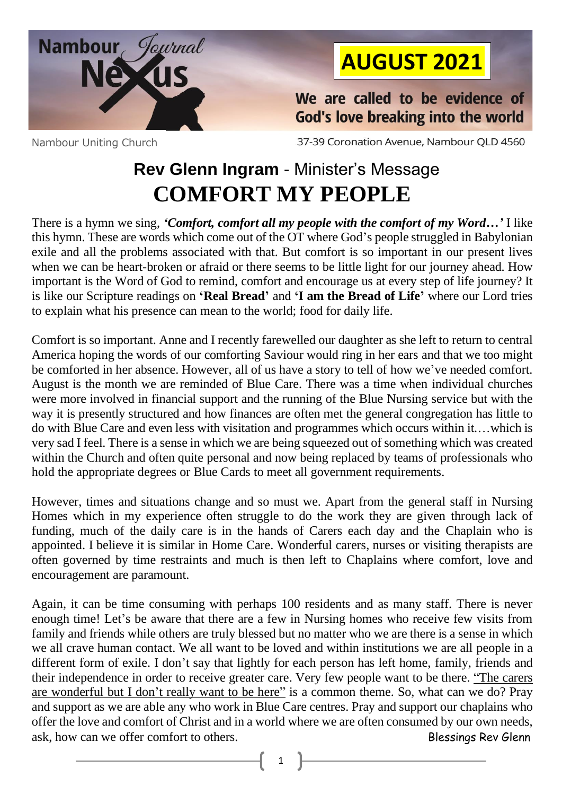

## **AUGUST 2021**

We are called to be evidence of God's love breaking into the world

Nambour Uniting Church

37-39 Coronation Avenue, Nambour QLD 4560

## **Rev Glenn Ingram** - Minister's Message **COMFORT MY PEOPLE**

There is a hymn we sing, *'Comfort, comfort all my people with the comfort of my Word…'* I like this hymn. These are words which come out of the OT where God's people struggled in Babylonian exile and all the problems associated with that. But comfort is so important in our present lives when we can be heart-broken or afraid or there seems to be little light for our journey ahead. How important is the Word of God to remind, comfort and encourage us at every step of life journey? It is like our Scripture readings on **'Real Bread'** and **'I am the Bread of Life'** where our Lord tries to explain what his presence can mean to the world; food for daily life.

Comfort is so important. Anne and I recently farewelled our daughter as she left to return to central America hoping the words of our comforting Saviour would ring in her ears and that we too might be comforted in her absence. However, all of us have a story to tell of how we've needed comfort. August is the month we are reminded of Blue Care. There was a time when individual churches were more involved in financial support and the running of the Blue Nursing service but with the way it is presently structured and how finances are often met the general congregation has little to do with Blue Care and even less with visitation and programmes which occurs within it.…which is very sad I feel. There is a sense in which we are being squeezed out of something which was created within the Church and often quite personal and now being replaced by teams of professionals who hold the appropriate degrees or Blue Cards to meet all government requirements.

However, times and situations change and so must we. Apart from the general staff in Nursing Homes which in my experience often struggle to do the work they are given through lack of funding, much of the daily care is in the hands of Carers each day and the Chaplain who is appointed. I believe it is similar in Home Care. Wonderful carers, nurses or visiting therapists are often governed by time restraints and much is then left to Chaplains where comfort, love and encouragement are paramount.

Again, it can be time consuming with perhaps 100 residents and as many staff. There is never enough time! Let's be aware that there are a few in Nursing homes who receive few visits from family and friends while others are truly blessed but no matter who we are there is a sense in which we all crave human contact. We all want to be loved and within institutions we are all people in a different form of exile. I don't say that lightly for each person has left home, family, friends and their independence in order to receive greater care. Very few people want to be there. "The carers are wonderful but I don't really want to be here" is a common theme. So, what can we do? Pray and support as we are able any who work in Blue Care centres. Pray and support our chaplains who offer the love and comfort of Christ and in a world where we are often consumed by our own needs, ask, how can we offer comfort to others. Blessings Rev Glenn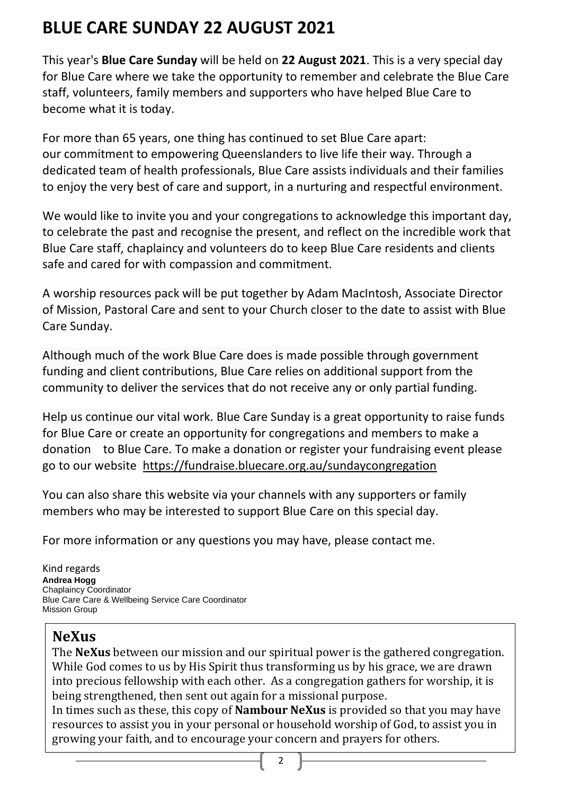## **BLUE CARE SUNDAY 22 AUGUST 2021**

This year's **Blue Care Sunday** will be held on **22 August 2021**. This is a very special day for Blue Care where we take the opportunity to remember and celebrate the Blue Care staff, volunteers, family members and supporters who have helped Blue Care to become what it is today.

For more than 65 years, one thing has continued to set Blue Care apart: our commitment to empowering Queenslanders to live life their way. Through a dedicated team of health professionals, Blue Care assists individuals and their families to enjoy the very best of care and support, in a nurturing and respectful environment.

We would like to invite you and your congregations to acknowledge this important day, to celebrate the past and recognise the present, and reflect on the incredible work that Blue Care staff, chaplaincy and volunteers do to keep Blue Care residents and clients safe and cared for with compassion and commitment.

A worship resources pack will be put together by Adam MacIntosh, Associate Director of Mission, Pastoral Care and sent to your Church closer to the date to assist with Blue Care Sunday.

Although much of the work Blue Care does is made possible through government funding and client contributions, Blue Care relies on additional support from the community to deliver the services that do not receive any or only partial funding.

Help us continue our vital work. Blue Care Sunday is a great opportunity to raise funds for Blue Care or create an opportunity for congregations and members to make a donation to Blue Care. To make a donation or register your fundraising event please go to our website <https://fundraise.bluecare.org.au/sundaycongregation>

You can also share this website via your channels with any supporters or family members who may be interested to support Blue Care on this special day.

For more information or any questions you may have, please contact me.

Kind regards **Andrea Hogg** Chaplaincy Coordinator Blue Care Care & Wellbeing Service Care Coordinator Mission Group

### **NeXus**

The **NeXus** between our mission and our spiritual power is the gathered congregation. While God comes to us by His Spirit thus transforming us by his grace, we are drawn into precious fellowship with each other. As a congregation gathers for worship, it is being strengthened, then sent out again for a missional purpose.

In times such as these, this copy of **Nambour NeXus** is provided so that you may have resources to assist you in your personal or household worship of God, to assist you in growing your faith, and to encourage your concern and prayers for others.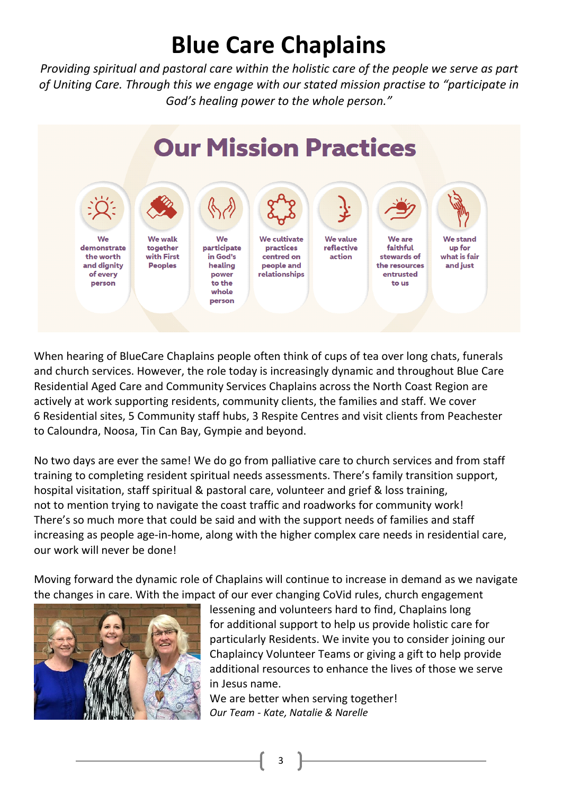# **Blue Care Chaplains**

*Providing spiritual and pastoral care within the holistic care of the people we serve as part of Uniting Care. Through this we engage with our stated mission practise to "participate in God's healing power to the whole person."*



When hearing of BlueCare Chaplains people often think of cups of tea over long chats, funerals and church services. However, the role today is increasingly dynamic and throughout Blue Care Residential Aged Care and Community Services Chaplains across the North Coast Region are actively at work supporting residents, community clients, the families and staff. We cover 6 Residential sites, 5 Community staff hubs, 3 Respite Centres and visit clients from Peachester to Caloundra, Noosa, Tin Can Bay, Gympie and beyond.

No two days are ever the same! We do go from palliative care to church services and from staff training to completing resident spiritual needs assessments. There's family transition support, hospital visitation, staff spiritual & pastoral care, volunteer and grief & loss training, not to mention trying to navigate the coast traffic and roadworks for community work! There's so much more that could be said and with the support needs of families and staff increasing as people age-in-home, along with the higher complex care needs in residential care, our work will never be done!

Moving forward the dynamic role of Chaplains will continue to increase in demand as we navigate the changes in care. With the impact of our ever changing CoVid rules, church engagement



lessening and volunteers hard to find, Chaplains long for additional support to help us provide holistic care for particularly Residents. We invite you to consider joining our Chaplaincy Volunteer Teams or giving a gift to help provide additional resources to enhance the lives of those we serve in Jesus name.

We are better when serving together! *Our Team - Kate, Natalie & Narelle*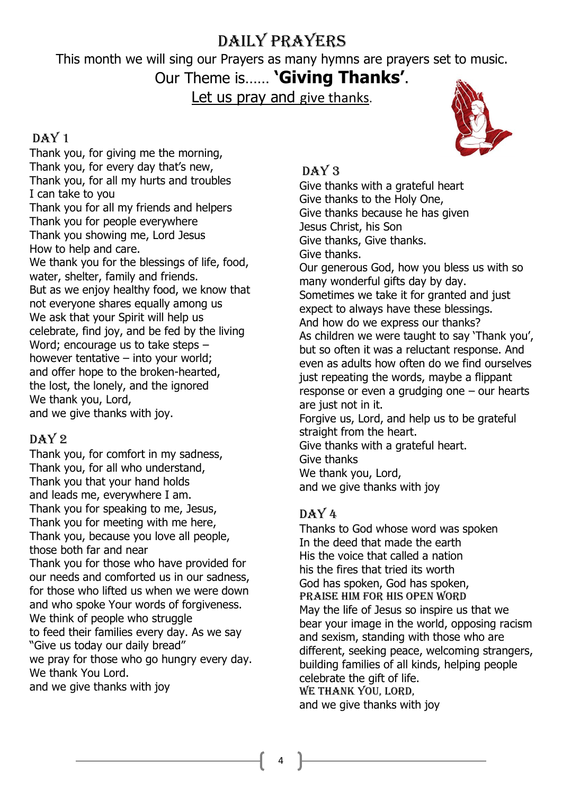### Daily Prayers

This month we will sing our Prayers as many hymns are prayers set to music.

### Our Theme is…… **'Giving Thanks'**.

Let us pray and give thanks.

### DAY<sub>1</sub>

Thank you, for giving me the morning, Thank you, for every day that's new, Thank you, for all my hurts and troubles I can take to you Thank you for all my friends and helpers Thank you for people everywhere Thank you showing me, Lord Jesus How to help and care. We thank you for the blessings of life, food, water, shelter, family and friends. But as we enjoy healthy food, we know that not everyone shares equally among us We ask that your Spirit will help us celebrate, find joy, and be fed by the living Word; encourage us to take steps – however tentative – into your world; and offer hope to the broken-hearted, the lost, the lonely, and the ignored We thank you, Lord, and we give thanks with joy.

### DAY 2

Thank you, for comfort in my sadness, Thank you, for all who understand, Thank you that your hand holds and leads me, everywhere I am. Thank you for speaking to me, Jesus, Thank you for meeting with me here, Thank you, because you love all people, those both far and near Thank you for those who have provided for our needs and comforted us in our sadness, for those who lifted us when we were down and who spoke Your words of forgiveness. We think of people who struggle to feed their families every day. As we say "Give us today our daily bread" we pray for those who go hungry every day. We thank You Lord. and we give thanks with joy

### DAY<sub>3</sub>

Give thanks with a grateful heart Give thanks to the Holy One, Give thanks because he has given Jesus Christ, his Son Give thanks, Give thanks. Give thanks. Our generous God, how you bless us with so many wonderful gifts day by day. Sometimes we take it for granted and just expect to always have these blessings. And how do we express our thanks? As children we were taught to say 'Thank you', but so often it was a reluctant response. And even as adults how often do we find ourselves just repeating the words, maybe a flippant response or even a grudging one – our hearts are just not in it. Forgive us, Lord, and help us to be grateful straight from the heart. Give thanks with a grateful heart. Give thanks We thank you, Lord, and we give thanks with joy

### DAY 4

Thanks to God whose word was spoken In the deed that made the earth His the voice that called a nation his the fires that tried its worth God has spoken, God has spoken, Praise him for his open word May the life of Jesus so inspire us that we bear your image in the world, opposing racism and sexism, standing with those who are different, seeking peace, welcoming strangers, building families of all kinds, helping people celebrate the gift of life. We thank you, Lord, and we give thanks with joy

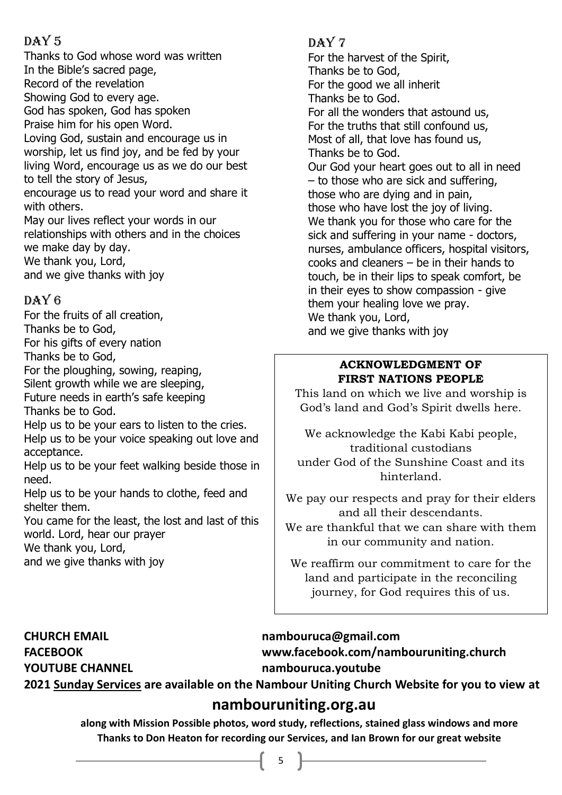### DAY<sub>5</sub>

Thanks to God whose word was written In the Bible's sacred page, Record of the revelation Showing God to every age. God has spoken, God has spoken Praise him for his open Word. Loving God, sustain and encourage us in worship, let us find joy, and be fed by your living Word, encourage us as we do our best to tell the story of Jesus, encourage us to read your word and share it with others. May our lives reflect your words in our relationships with others and in the choices we make day by day. We thank you, Lord, and we give thanks with joy

### DAY 6

For the fruits of all creation, Thanks be to God, For his gifts of every nation Thanks be to God,

For the ploughing, sowing, reaping, Silent growth while we are sleeping,

Future needs in earth's safe keeping

Thanks be to God.

Help us to be your ears to listen to the cries. Help us to be your voice speaking out love and acceptance.

Help us to be your feet walking beside those in need.

Help us to be your hands to clothe, feed and shelter them.

You came for the least, the lost and last of this world. Lord, hear our prayer

We thank you, Lord,

and we give thanks with joy

### DAY<sub>7</sub>

For the harvest of the Spirit, Thanks be to God, For the good we all inherit Thanks be to God. For all the wonders that astound us, For the truths that still confound us, Most of all, that love has found us, Thanks be to God. Our God your heart goes out to all in need – to those who are sick and suffering, those who are dying and in pain, those who have lost the joy of living. We thank you for those who care for the sick and suffering in your name - doctors, nurses, ambulance officers, hospital visitors, cooks and cleaners – be in their hands to touch, be in their lips to speak comfort, be in their eyes to show compassion - give them your healing love we pray. We thank you, Lord, and we give thanks with joy

#### **ACKNOWLEDGMENT OF FIRST NATIONS PEOPLE**

This land on which we live and worship is God's land and God's Spirit dwells here.

We acknowledge the Kabi Kabi people, traditional custodians under God of the Sunshine Coast and its hinterland.

We pay our respects and pray for their elders and all their descendants.

We are thankful that we can share with them in our community and nation.

We reaffirm our commitment to care for the land and participate in the reconciling journey, for God requires this of us.

### **CHURCH EMAIL [nambouruca@gmail.com](mailto:nambouruca@gmail.com)**

**FACEBOOK [www.facebook.com/nambouruniting.church](http://www.facebook.com/nambouruniting.church) YOUTUBE CHANNEL nambouruca.youtube**

**2021 Sunday Services are available on the Nambour Uniting Church Website for you to view at**

### **nambouruniting.org.au**

**along with Mission Possible photos, word study, reflections, stained glass windows and more Thanks to Don Heaton for recording our Services, and Ian Brown for our great website**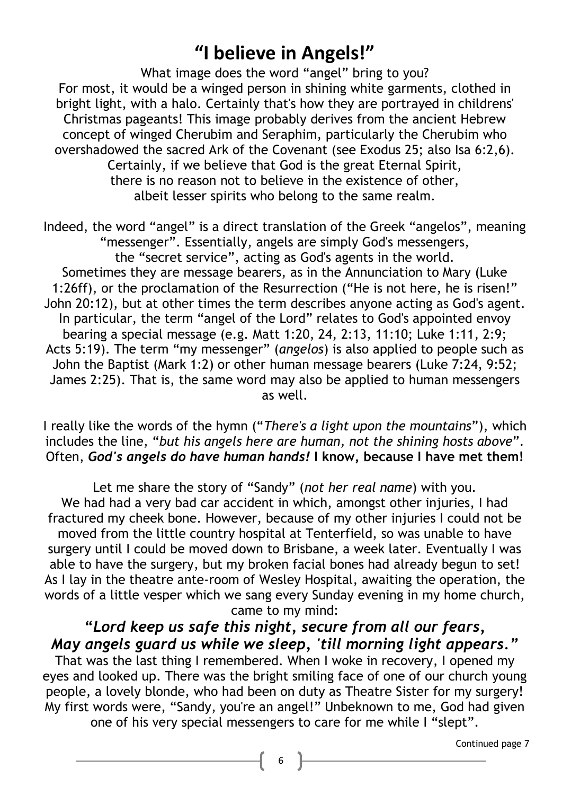## **"I believe in Angels!"**

What image does the word "angel" bring to you? For most, it would be a winged person in shining white garments, clothed in bright light, with a halo. Certainly that's how they are portrayed in childrens' Christmas pageants! This image probably derives from the ancient Hebrew concept of winged Cherubim and Seraphim, particularly the Cherubim who overshadowed the sacred Ark of the Covenant (see Exodus 25; also Isa 6:2,6). Certainly, if we believe that God is the great Eternal Spirit, there is no reason not to believe in the existence of other, albeit lesser spirits who belong to the same realm.

Indeed, the word "angel" is a direct translation of the Greek "angelos", meaning "messenger". Essentially, angels are simply God's messengers, the "secret service", acting as God's agents in the world. Sometimes they are message bearers, as in the Annunciation to Mary (Luke 1:26ff), or the proclamation of the Resurrection ("He is not here, he is risen!" John 20:12), but at other times the term describes anyone acting as God's agent. In particular, the term "angel of the Lord" relates to God's appointed envoy bearing a special message (e.g. Matt 1:20, 24, 2:13, 11:10; Luke 1:11, 2:9; Acts 5:19). The term "my messenger" (*angelos*) is also applied to people such as John the Baptist (Mark 1:2) or other human message bearers (Luke 7:24, 9:52; James 2:25). That is, the same word may also be applied to human messengers as well.

I really like the words of the hymn ("*There's a light upon the mountains*"), which includes the line, "*but his angels here are human, not the shining hosts above*". Often, *God's angels do have human hands!* **I know, because I have met them!**

Let me share the story of "Sandy" (*not her real name*) with you. We had had a very bad car accident in which, amongst other injuries, I had fractured my cheek bone. However, because of my other injuries I could not be moved from the little country hospital at Tenterfield, so was unable to have surgery until I could be moved down to Brisbane, a week later. Eventually I was able to have the surgery, but my broken facial bones had already begun to set! As I lay in the theatre ante-room of Wesley Hospital, awaiting the operation, the words of a little vesper which we sang every Sunday evening in my home church, came to my mind:

### **"***Lord keep us safe this night, secure from all our fears, May angels guard us while we sleep, 'till morning light appears."*

That was the last thing I remembered. When I woke in recovery, I opened my eyes and looked up. There was the bright smiling face of one of our church young people, a lovely blonde, who had been on duty as Theatre Sister for my surgery! My first words were, "Sandy, you're an angel!" Unbeknown to me, God had given

one of his very special messengers to care for me while I "slept".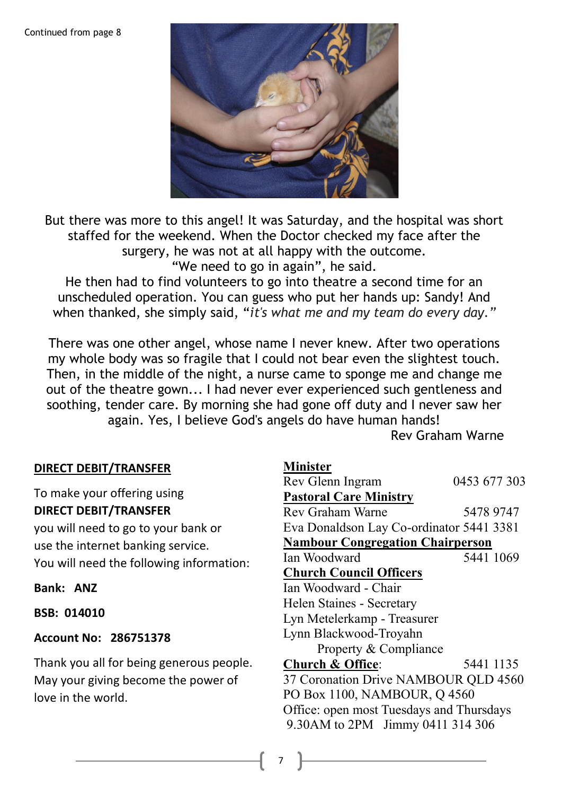#### Continued from page 8



But there was more to this angel! It was Saturday, and the hospital was short staffed for the weekend. When the Doctor checked my face after the surgery, he was not at all happy with the outcome. "We need to go in again", he said. He then had to find volunteers to go into theatre a second time for an unscheduled operation. You can guess who put her hands up: Sandy! And when thanked, she simply said, "*it's what me and my team do every day."*

There was one other angel, whose name I never knew. After two operations my whole body was so fragile that I could not bear even the slightest touch. Then, in the middle of the night, a nurse came to sponge me and change me out of the theatre gown... I had never ever experienced such gentleness and soothing, tender care. By morning she had gone off duty and I never saw her again. Yes, I believe God's angels do have human hands!

Rev Graham Warne

### **DIRECT DEBIT/TRANSFER**

To make your offering using **DIRECT DEBIT/TRANSFER** 

you will need to go to your bank or use the internet banking service. You will need the following information:

#### **Bank: ANZ**

**BSB: 014010** 

#### **Account No: 286751378**

Thank you all for being generous people. May your giving become the power of love in the world.

| <b>Minister</b>                          |              |
|------------------------------------------|--------------|
| Rev Glenn Ingram                         | 0453 677 303 |
| <b>Pastoral Care Ministry</b>            |              |
| Rev Graham Warne                         | 5478 9747    |
| Eva Donaldson Lay Co-ordinator 5441 3381 |              |
| <b>Nambour Congregation Chairperson</b>  |              |
| Ian Woodward                             | 5441 1069    |
| <b>Church Council Officers</b>           |              |
| Ian Woodward - Chair                     |              |
| Helen Staines - Secretary                |              |
| Lyn Metelerkamp - Treasurer              |              |
| Lynn Blackwood-Troyahn                   |              |
| Property & Compliance                    |              |
| <b>Church &amp; Office:</b>              | 5441 1135    |
| 37 Coronation Drive NAMBOUR QLD 4560     |              |
| PO Box 1100, NAMBOUR, Q 4560             |              |
| Office: open most Tuesdays and Thursdays |              |
| 9.30AM to 2PM Jimmy 0411 314 306         |              |